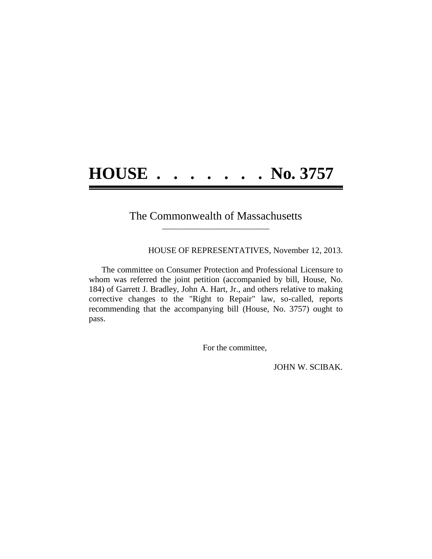## **HOUSE . . . . . . . No. 3757**

## The Commonwealth of Massachusetts **\_\_\_\_\_\_\_\_\_\_\_\_\_\_\_\_\_\_\_\_\_\_\_\_\_\_\_\_\_\_\_\_\_\_\_\_\_\_**

HOUSE OF REPRESENTATIVES, November 12, 2013.

The committee on Consumer Protection and Professional Licensure to whom was referred the joint petition (accompanied by bill, House, No. 184) of Garrett J. Bradley, John A. Hart, Jr., and others relative to making corrective changes to the "Right to Repair" law, so-called, reports recommending that the accompanying bill (House, No. 3757) ought to pass.

For the committee,

JOHN W. SCIBAK.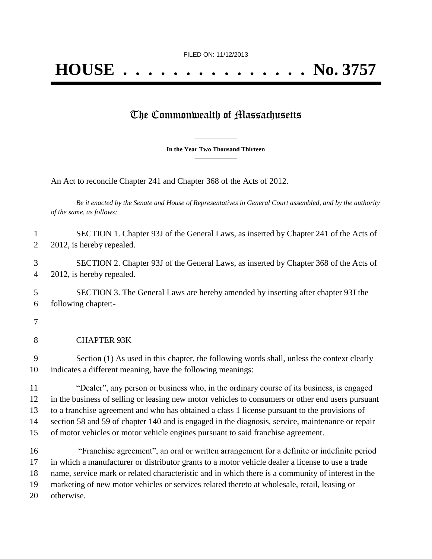## The Commonwealth of Massachusetts

**\_\_\_\_\_\_\_\_\_\_\_\_\_\_\_ In the Year Two Thousand Thirteen \_\_\_\_\_\_\_\_\_\_\_\_\_\_\_**

An Act to reconcile Chapter 241 and Chapter 368 of the Acts of 2012.

*Be it enacted by the Senate and House of Representatives in General Court assembled, and by the authority of the same, as follows:*

 SECTION 1. Chapter 93J of the General Laws, as inserted by Chapter 241 of the Acts of 2 2012, is hereby repealed.

 SECTION 2. Chapter 93J of the General Laws, as inserted by Chapter 368 of the Acts of 2012, is hereby repealed.

 SECTION 3. The General Laws are hereby amended by inserting after chapter 93J the following chapter:-

CHAPTER 93K

 Section (1) As used in this chapter, the following words shall, unless the context clearly indicates a different meaning, have the following meanings:

 "Dealer", any person or business who, in the ordinary course of its business, is engaged in the business of selling or leasing new motor vehicles to consumers or other end users pursuant to a franchise agreement and who has obtained a class 1 license pursuant to the provisions of section 58 and 59 of chapter 140 and is engaged in the diagnosis, service, maintenance or repair of motor vehicles or motor vehicle engines pursuant to said franchise agreement.

 "Franchise agreement", an oral or written arrangement for a definite or indefinite period in which a manufacturer or distributor grants to a motor vehicle dealer a license to use a trade name, service mark or related characteristic and in which there is a community of interest in the marketing of new motor vehicles or services related thereto at wholesale, retail, leasing or otherwise.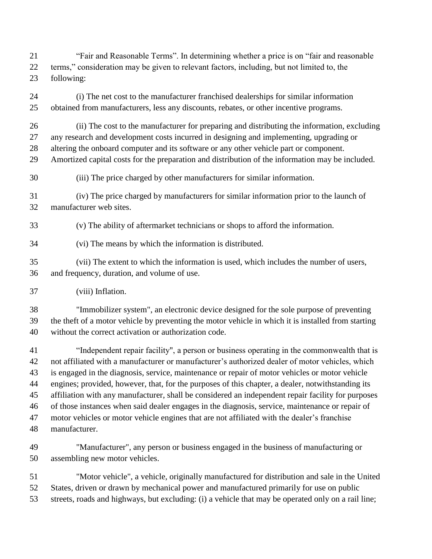"Fair and Reasonable Terms". In determining whether a price is on "fair and reasonable terms," consideration may be given to relevant factors, including, but not limited to, the following:

 (i) The net cost to the manufacturer franchised dealerships for similar information obtained from manufacturers, less any discounts, rebates, or other incentive programs.

(ii) The cost to the manufacturer for preparing and distributing the information, excluding

 any research and development costs incurred in designing and implementing, upgrading or altering the onboard computer and its software or any other vehicle part or component.

Amortized capital costs for the preparation and distribution of the information may be included.

(iii) The price charged by other manufacturers for similar information.

 (iv) The price charged by manufacturers for similar information prior to the launch of manufacturer web sites.

(v) The ability of aftermarket technicians or shops to afford the information.

(vi) The means by which the information is distributed.

 (vii) The extent to which the information is used, which includes the number of users, and frequency, duration, and volume of use.

(viii) Inflation.

 "Immobilizer system", an electronic device designed for the sole purpose of preventing the theft of a motor vehicle by preventing the motor vehicle in which it is installed from starting without the correct activation or authorization code.

 "Independent repair facility", a person or business operating in the commonwealth that is not affiliated with a manufacturer or manufacturer's authorized dealer of motor vehicles, which is engaged in the diagnosis, service, maintenance or repair of motor vehicles or motor vehicle engines; provided, however, that, for the purposes of this chapter, a dealer, notwithstanding its affiliation with any manufacturer, shall be considered an independent repair facility for purposes of those instances when said dealer engages in the diagnosis, service, maintenance or repair of motor vehicles or motor vehicle engines that are not affiliated with the dealer's franchise manufacturer.

- "Manufacturer", any person or business engaged in the business of manufacturing or assembling new motor vehicles.
- "Motor vehicle", a vehicle, originally manufactured for distribution and sale in the United States, driven or drawn by mechanical power and manufactured primarily for use on public streets, roads and highways, but excluding: (i) a vehicle that may be operated only on a rail line;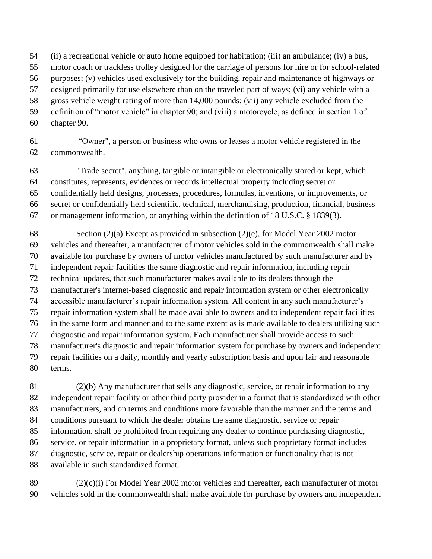(ii) a recreational vehicle or auto home equipped for habitation; (iii) an ambulance; (iv) a bus,

- motor coach or trackless trolley designed for the carriage of persons for hire or for school-related
- purposes; (v) vehicles used exclusively for the building, repair and maintenance of highways or

designed primarily for use elsewhere than on the traveled part of ways; (vi) any vehicle with a

gross vehicle weight rating of more than 14,000 pounds; (vii) any vehicle excluded from the

- definition of "motor vehicle" in chapter 90; and (viii) a motorcycle, as defined in section 1 of
- chapter 90.

 "Owner", a person or business who owns or leases a motor vehicle registered in the commonwealth.

 "Trade secret", anything, tangible or intangible or electronically stored or kept, which constitutes, represents, evidences or records intellectual property including secret or confidentially held designs, processes, procedures, formulas, inventions, or improvements, or secret or confidentially held scientific, technical, merchandising, production, financial, business or management information, or anything within the definition of 18 U.S.C. § 1839(3).

 Section (2)(a) Except as provided in subsection (2)(e), for Model Year 2002 motor vehicles and thereafter, a manufacturer of motor vehicles sold in the commonwealth shall make available for purchase by owners of motor vehicles manufactured by such manufacturer and by independent repair facilities the same diagnostic and repair information, including repair technical updates, that such manufacturer makes available to its dealers through the manufacturer's internet-based diagnostic and repair information system or other electronically accessible manufacturer's repair information system. All content in any such manufacturer's repair information system shall be made available to owners and to independent repair facilities in the same form and manner and to the same extent as is made available to dealers utilizing such diagnostic and repair information system. Each manufacturer shall provide access to such manufacturer's diagnostic and repair information system for purchase by owners and independent repair facilities on a daily, monthly and yearly subscription basis and upon fair and reasonable terms.

 (2)(b) Any manufacturer that sells any diagnostic, service, or repair information to any independent repair facility or other third party provider in a format that is standardized with other manufacturers, and on terms and conditions more favorable than the manner and the terms and conditions pursuant to which the dealer obtains the same diagnostic, service or repair information, shall be prohibited from requiring any dealer to continue purchasing diagnostic, service, or repair information in a proprietary format, unless such proprietary format includes diagnostic, service, repair or dealership operations information or functionality that is not available in such standardized format.

 (2)(c)(i) For Model Year 2002 motor vehicles and thereafter, each manufacturer of motor vehicles sold in the commonwealth shall make available for purchase by owners and independent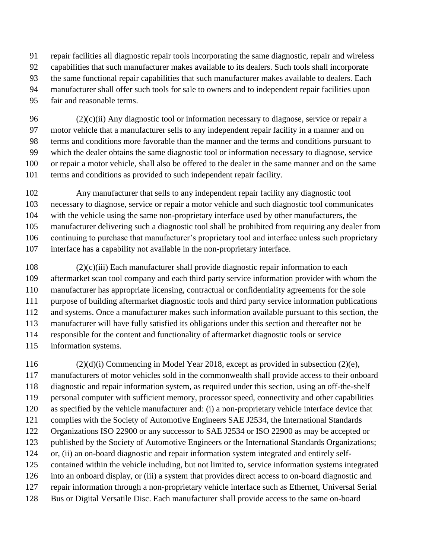repair facilities all diagnostic repair tools incorporating the same diagnostic, repair and wireless

- capabilities that such manufacturer makes available to its dealers. Such tools shall incorporate
- the same functional repair capabilities that such manufacturer makes available to dealers. Each
- manufacturer shall offer such tools for sale to owners and to independent repair facilities upon
- fair and reasonable terms.

 $(2)(c)(ii)$  Any diagnostic tool or information necessary to diagnose, service or repair a motor vehicle that a manufacturer sells to any independent repair facility in a manner and on terms and conditions more favorable than the manner and the terms and conditions pursuant to which the dealer obtains the same diagnostic tool or information necessary to diagnose, service or repair a motor vehicle, shall also be offered to the dealer in the same manner and on the same terms and conditions as provided to such independent repair facility.

 Any manufacturer that sells to any independent repair facility any diagnostic tool necessary to diagnose, service or repair a motor vehicle and such diagnostic tool communicates with the vehicle using the same non-proprietary interface used by other manufacturers, the manufacturer delivering such a diagnostic tool shall be prohibited from requiring any dealer from continuing to purchase that manufacturer's proprietary tool and interface unless such proprietary interface has a capability not available in the non-proprietary interface.

 (2)(c)(iii) Each manufacturer shall provide diagnostic repair information to each aftermarket scan tool company and each third party service information provider with whom the manufacturer has appropriate licensing, contractual or confidentiality agreements for the sole purpose of building aftermarket diagnostic tools and third party service information publications and systems. Once a manufacturer makes such information available pursuant to this section, the manufacturer will have fully satisfied its obligations under this section and thereafter not be responsible for the content and functionality of aftermarket diagnostic tools or service information systems.

 (2)(d)(i) Commencing in Model Year 2018, except as provided in subsection (2)(e), manufacturers of motor vehicles sold in the commonwealth shall provide access to their onboard diagnostic and repair information system, as required under this section, using an off-the-shelf personal computer with sufficient memory, processor speed, connectivity and other capabilities as specified by the vehicle manufacturer and: (i) a non-proprietary vehicle interface device that complies with the Society of Automotive Engineers SAE J2534, the International Standards Organizations ISO 22900 or any successor to SAE J2534 or ISO 22900 as may be accepted or published by the Society of Automotive Engineers or the International Standards Organizations; or, (ii) an on-board diagnostic and repair information system integrated and entirely self- contained within the vehicle including, but not limited to, service information systems integrated into an onboard display, or (iii) a system that provides direct access to on-board diagnostic and repair information through a non-proprietary vehicle interface such as Ethernet, Universal Serial Bus or Digital Versatile Disc. Each manufacturer shall provide access to the same on-board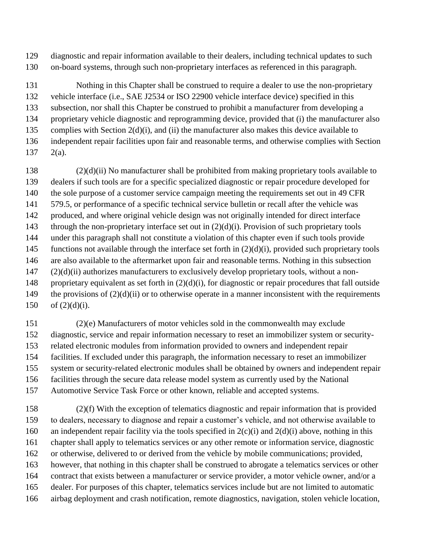diagnostic and repair information available to their dealers, including technical updates to such on-board systems, through such non-proprietary interfaces as referenced in this paragraph.

 Nothing in this Chapter shall be construed to require a dealer to use the non-proprietary vehicle interface (i.e., SAE J2534 or ISO 22900 vehicle interface device) specified in this subsection, nor shall this Chapter be construed to prohibit a manufacturer from developing a proprietary vehicle diagnostic and reprogramming device, provided that (i) the manufacturer also complies with Section 2(d)(i), and (ii) the manufacturer also makes this device available to independent repair facilities upon fair and reasonable terms, and otherwise complies with Section 2(a).

 (2)(d)(ii) No manufacturer shall be prohibited from making proprietary tools available to dealers if such tools are for a specific specialized diagnostic or repair procedure developed for 140 the sole purpose of a customer service campaign meeting the requirements set out in 49 CFR 579.5, or performance of a specific technical service bulletin or recall after the vehicle was produced, and where original vehicle design was not originally intended for direct interface 143 through the non-proprietary interface set out in  $(2)(d)(i)$ . Provision of such proprietary tools under this paragraph shall not constitute a violation of this chapter even if such tools provide 145 functions not available through the interface set forth in  $(2)(d)(i)$ , provided such proprietary tools are also available to the aftermarket upon fair and reasonable terms. Nothing in this subsection (2)(d)(ii) authorizes manufacturers to exclusively develop proprietary tools, without a non- proprietary equivalent as set forth in (2)(d)(i), for diagnostic or repair procedures that fall outside 149 the provisions of  $(2)(d)(ii)$  or to otherwise operate in a manner inconsistent with the requirements 150 of  $(2)(d)(i)$ .

 (2)(e) Manufacturers of motor vehicles sold in the commonwealth may exclude diagnostic, service and repair information necessary to reset an immobilizer system or security- related electronic modules from information provided to owners and independent repair facilities. If excluded under this paragraph, the information necessary to reset an immobilizer system or security-related electronic modules shall be obtained by owners and independent repair facilities through the secure data release model system as currently used by the National Automotive Service Task Force or other known, reliable and accepted systems.

 (2)(f) With the exception of telematics diagnostic and repair information that is provided to dealers, necessary to diagnose and repair a customer's vehicle, and not otherwise available to 160 an independent repair facility via the tools specified in  $2(c)(i)$  and  $2(d)(i)$  above, nothing in this chapter shall apply to telematics services or any other remote or information service, diagnostic or otherwise, delivered to or derived from the vehicle by mobile communications; provided, however, that nothing in this chapter shall be construed to abrogate a telematics services or other contract that exists between a manufacturer or service provider, a motor vehicle owner, and/or a dealer. For purposes of this chapter, telematics services include but are not limited to automatic airbag deployment and crash notification, remote diagnostics, navigation, stolen vehicle location,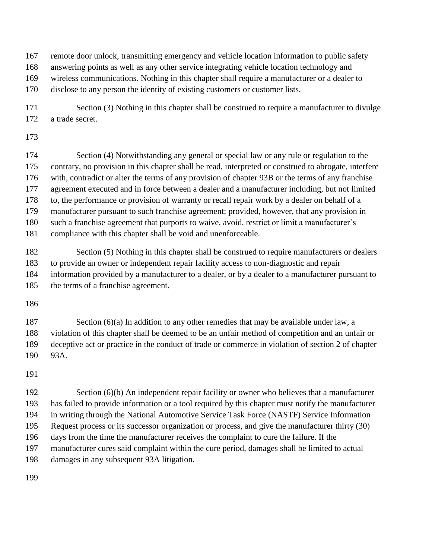remote door unlock, transmitting emergency and vehicle location information to public safety

answering points as well as any other service integrating vehicle location technology and

wireless communications. Nothing in this chapter shall require a manufacturer or a dealer to

disclose to any person the identity of existing customers or customer lists.

171 Section (3) Nothing in this chapter shall be construed to require a manufacturer to divulge a trade secret.

174 Section (4) Notwithstanding any general or special law or any rule or regulation to the contrary, no provision in this chapter shall be read, interpreted or construed to abrogate, interfere with, contradict or alter the terms of any provision of chapter 93B or the terms of any franchise 177 agreement executed and in force between a dealer and a manufacturer including, but not limited to, the performance or provision of warranty or recall repair work by a dealer on behalf of a manufacturer pursuant to such franchise agreement; provided, however, that any provision in such a franchise agreement that purports to waive, avoid, restrict or limit a manufacturer's compliance with this chapter shall be void and unenforceable.

182 Section (5) Nothing in this chapter shall be construed to require manufacturers or dealers to provide an owner or independent repair facility access to non-diagnostic and repair information provided by a manufacturer to a dealer, or by a dealer to a manufacturer pursuant to the terms of a franchise agreement.

187 Section (6)(a) In addition to any other remedies that may be available under law, a violation of this chapter shall be deemed to be an unfair method of competition and an unfair or deceptive act or practice in the conduct of trade or commerce in violation of section 2 of chapter 93A.

192 Section (6)(b) An independent repair facility or owner who believes that a manufacturer has failed to provide information or a tool required by this chapter must notify the manufacturer in writing through the National Automotive Service Task Force (NASTF) Service Information Request process or its successor organization or process, and give the manufacturer thirty (30) days from the time the manufacturer receives the complaint to cure the failure. If the manufacturer cures said complaint within the cure period, damages shall be limited to actual damages in any subsequent 93A litigation.